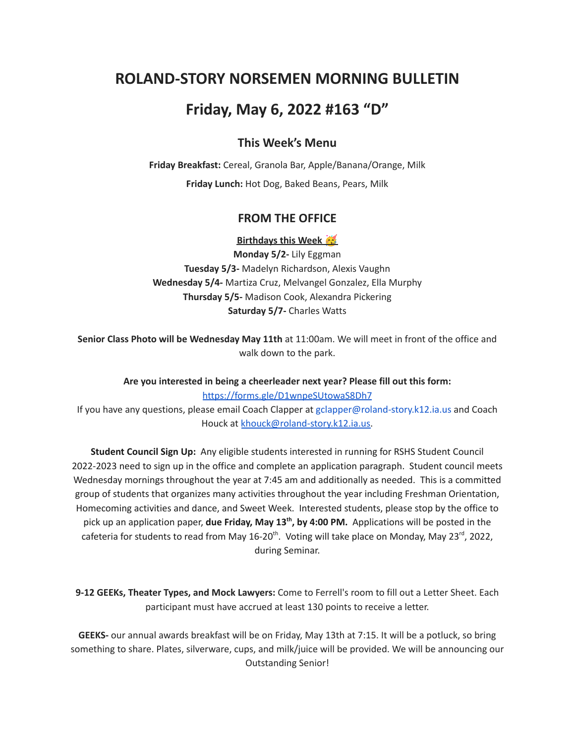# **ROLAND-STORY NORSEMEN MORNING BULLETIN**

## **Friday, May 6, 2022 #163 "D"**

### **This Week's Menu**

**Friday Breakfast:** Cereal, Granola Bar, Apple/Banana/Orange, Milk **Friday Lunch:** Hot Dog, Baked Beans, Pears, Milk

#### **FROM THE OFFICE**

**Birthdays this Week**

**Monday 5/2-** Lily Eggman **Tuesday 5/3-** Madelyn Richardson, Alexis Vaughn **Wednesday 5/4-** Martiza Cruz, Melvangel Gonzalez, Ella Murphy **Thursday 5/5-** Madison Cook, Alexandra Pickering **Saturday 5/7-** Charles Watts

**Senior Class Photo will be Wednesday May 11th** at 11:00am. We will meet in front of the office and walk down to the park.

**Are you interested in being a cheerleader next year? Please fill out this form:** <https://forms.gle/D1wnpeSUtowaS8Dh7> If you have any questions, please email Coach Clapper at gclapper@roland-story.k12.ia.us and Coach Houck at [khouck@roland-story.k12.ia.us.](mailto:khouck@roland-story.k12.ia.us)

**Student Council Sign Up:** Any eligible students interested in running for RSHS Student Council 2022-2023 need to sign up in the office and complete an application paragraph. Student council meets Wednesday mornings throughout the year at 7:45 am and additionally as needed. This is a committed group of students that organizes many activities throughout the year including Freshman Orientation, Homecoming activities and dance, and Sweet Week. Interested students, please stop by the office to pick up an application paper, **due Friday, May 13 th , by 4:00 PM.** Applications will be posted in the cafeteria for students to read from May 16-20<sup>th</sup>. Voting will take place on Monday, May 23<sup>rd</sup>, 2022, during Seminar.

**9-12 GEEKs, Theater Types, and Mock Lawyers:** Come to Ferrell's room to fill out a Letter Sheet. Each participant must have accrued at least 130 points to receive a letter.

**GEEKS-** our annual awards breakfast will be on Friday, May 13th at 7:15. It will be a potluck, so bring something to share. Plates, silverware, cups, and milk/juice will be provided. We will be announcing our Outstanding Senior!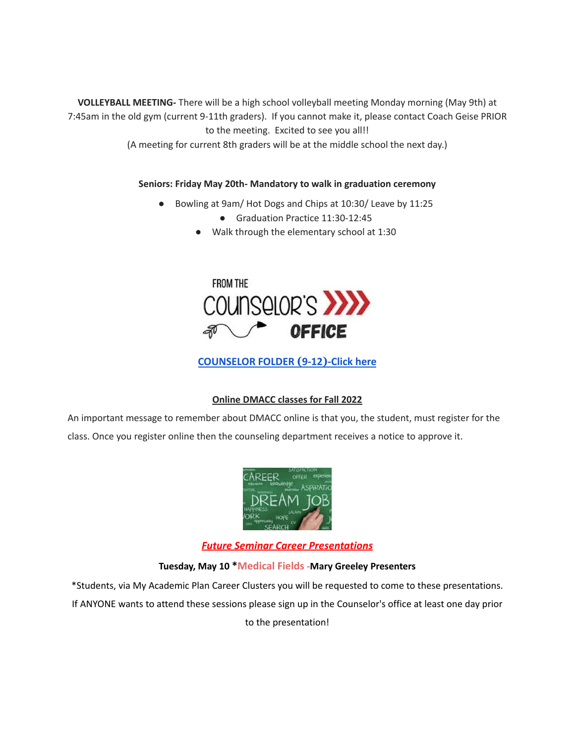**VOLLEYBALL MEETING-** There will be a high school volleyball meeting Monday morning (May 9th) at 7:45am in the old gym (current 9-11th graders). If you cannot make it, please contact Coach Geise PRIOR to the meeting. Excited to see you all!!

(A meeting for current 8th graders will be at the middle school the next day.)

#### **Seniors: Friday May 20th- Mandatory to walk in graduation ceremony**

- Bowling at 9am/ Hot Dogs and Chips at 10:30/ Leave by 11:25
	- Graduation Practice 11:30-12:45
	- Walk through the elementary school at 1:30



**[COUNSELOR FOLDER](https://docs.google.com/document/d/1vmwczNPbDzXe9vFaG5LJMQ7NYDv-i4oQJHybqA65TUc/edit?usp=sharing) (9-12)-Click here**

#### **Online DMACC classes for Fall 2022**

An important message to remember about DMACC online is that you, the student, must register for the class. Once you register online then the counseling department receives a notice to approve it.



*Future Seminar Career Presentations*

#### **Tuesday, May 10 \*Medical Fields -Mary Greeley Presenters**

\*Students, via My Academic Plan Career Clusters you will be requested to come to these presentations. If ANYONE wants to attend these sessions please sign up in the Counselor's office at least one day prior to the presentation!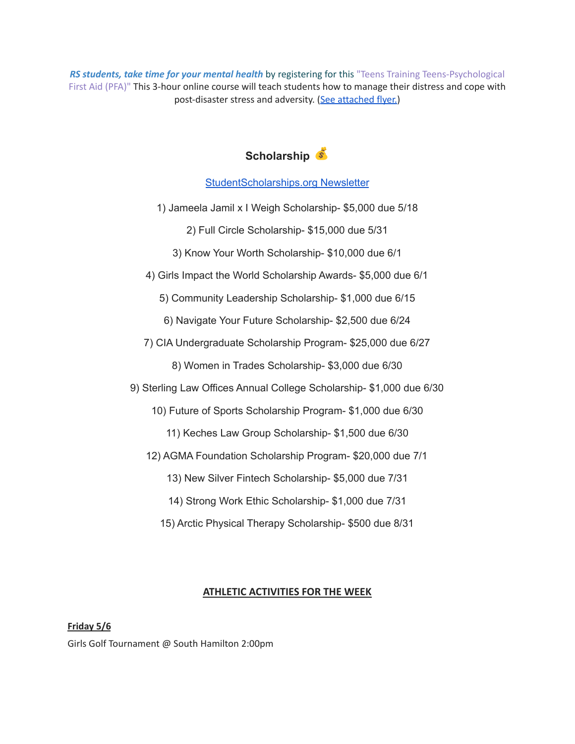*RS students, take time for your mental health* by registering for this "Teens Training Teens-Psychological First Aid (PFA)" This 3-hour online course will teach students how to manage their distress and cope with post-disaster stress and adversity. (See [attached](https://drive.google.com/file/d/18ZxsDgb9mTVccDP5AD1ejwqoEi1MNUwE/view?usp=sharing) flyer.)

## **Scholarship**

### [StudentScholarships.org](https://drive.google.com/file/d/1qEKcx3GVK6vi8DB_QD_Px65Do1Dedcz6/view?usp=sharing) Newsletter

- 1) Jameela Jamil x I Weigh Scholarship- \$5,000 due 5/18
	- 2) Full Circle Scholarship- \$15,000 due 5/31
	- 3) Know Your Worth Scholarship- \$10,000 due 6/1
- 4) Girls Impact the World Scholarship Awards- \$5,000 due 6/1
	- 5) Community Leadership Scholarship- \$1,000 due 6/15
	- 6) Navigate Your Future Scholarship- \$2,500 due 6/24
- 7) CIA Undergraduate Scholarship Program- \$25,000 due 6/27
	- 8) Women in Trades Scholarship- \$3,000 due 6/30
- 9) Sterling Law Offices Annual College Scholarship- \$1,000 due 6/30
	- 10) Future of Sports Scholarship Program- \$1,000 due 6/30
		- 11) Keches Law Group Scholarship- \$1,500 due 6/30
	- 12) AGMA Foundation Scholarship Program- \$20,000 due 7/1
		- 13) New Silver Fintech Scholarship- \$5,000 due 7/31
		- 14) Strong Work Ethic Scholarship- \$1,000 due 7/31
		- 15) Arctic Physical Therapy Scholarship- \$500 due 8/31

### **ATHLETIC ACTIVITIES FOR THE WEEK**